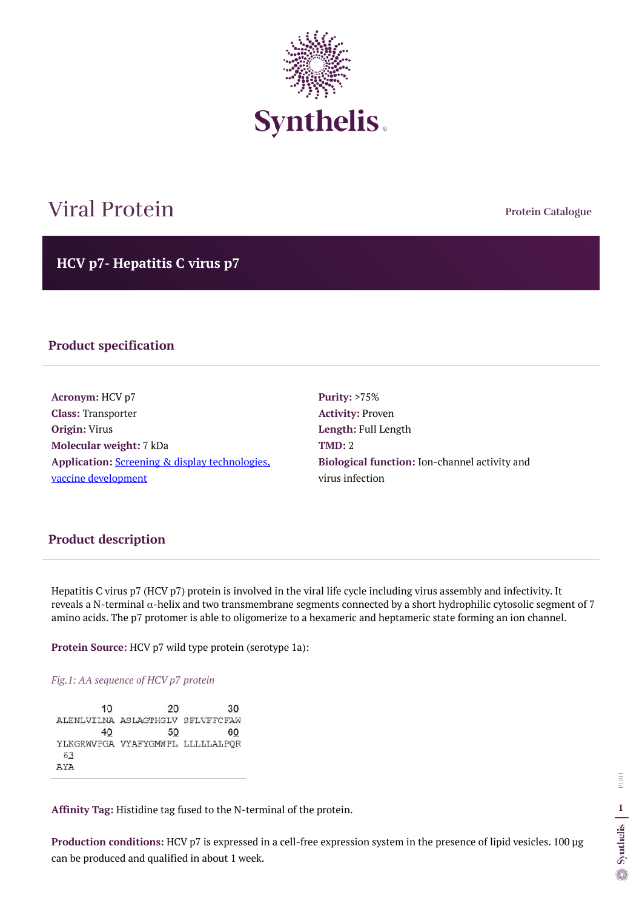**Protein Catalogue**

**HCV p7- Hepatitis C virus p7**



# Viral Protein

#### **Product specification**

**Acronym:** HCV p7 **Class:** Transporter **Origin:** Virus **Molecular weight:** 7 kDa **Application:** [Screening & display technologies,](https://www.synthelis.com/fields-of-application-for-membrane-proteins/screening-display-technologies/)  [vaccine development](https://www.synthelis.com/fields-of-application-for-membrane-proteins/screening-display-technologies/)

**Purity:** >75% **Activity:** Proven **Length:** Full Length **TMD:** 2 **Biological function:** Ion-channel activity and virus infection

Hepatitis C virus p7 (HCV p7) protein is involved in the viral life cycle including virus assembly and infectivity. It reveals a N-terminal α-helix and two transmembrane segments connected by a short hydrophilic cytosolic segment of 7 amino acids. The p7 protomer is able to oligomerize to a hexameric and heptameric state forming an ion channel.

**Protein Source:** HCV p7 wild type protein (serotype 1a):

#### *Fig.1: AA sequence of HCV p7 protein*

| 10  | 20                                | 30 |
|-----|-----------------------------------|----|
|     | ALENLVILNA ASLAGTHGLV SFLVFFCFAW  |    |
| 40  | 50                                | 60 |
|     | YLKGRWVPGA VYAFYGMWPL LLLLLLALPOR |    |
| 63  |                                   |    |
| AYA |                                   |    |

**Affinity Tag:** Histidine tag fused to the N-terminal of the protein.

**Production conditions:** HCV p7 is expressed in a cell-free expression system in the presence of lipid vesicles. 100 µg can be produced and qualified in about 1 week.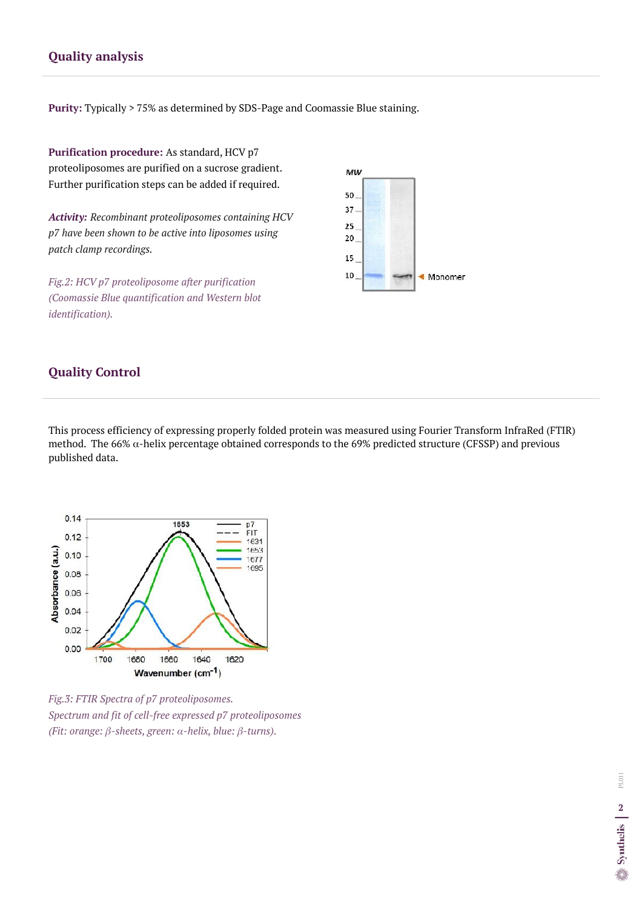### **Quality analysis**

**Purity:** Typically > 75% as determined by SDS-Page and Coomassie Blue staining.

#### **Quality Control**

This process efficiency of expressing properly folded protein was measured using Fourier Transform InfraRed (FTIR) method. The 66%  $\alpha$ -helix percentage obtained corresponds to the 69% predicted structure (CFSSP) and previous published data.

**Purification procedure:** As standard, HCV p7 proteoliposomes are purified on a sucrose gradient. Further purification steps can be added if required.

*Activity: Recombinant proteoliposomes containing HCV p7 have been shown to be active into liposomes using patch clamp recordings.*

*Fig.2: HCV p7 proteoliposome after purification (Coomassie Blue quantification and Western blot identification).*





*Fig.3: FTIR Spectra of p7 proteoliposomes. Spectrum and fit of cell-free expressed p7 proteoliposomes (Fit: orange: β-sheets, green: α-helix, blue: β-turns).*